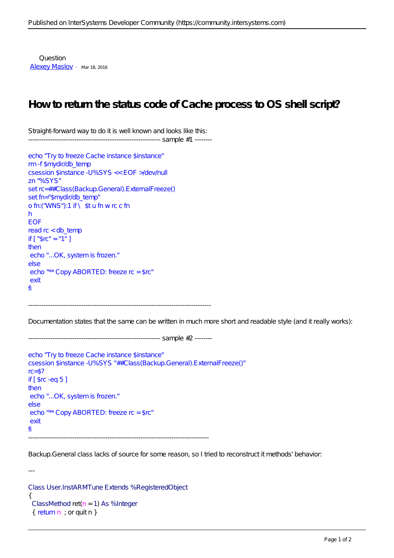Question [Alexey Maslov](https://community.intersystems.com/user/alexey-maslov) · Mar 18, 2016

## **How to return the status code of Cache process to OS shell script?**

Straight-forward way to do it is well known and looks like this: ------------------------------------------------------------ sample #1 --------

```
echo "Try to freeze Cache instance $instance"
rm -f $mydir/db_temp
csession $instance -U%SYS << EOF >/dev/null
zn "%SYS"
set rc=##Class(Backup.General).ExternalFreeze()
set fn="$mydir/db_temp"
o fn: ("WNS"):1 if \setminus $tu fn w rc c fn
h
EOF
read rc < db_temp
if ['" $rc" = "1" ]then
 echo "...OK, system is frozen."
else
 echo "** Copy ABORTED: freeze rc = $rc"
 exit
fi
```
-----------------------------------------------------------------------------------

------------------------------------------------------------ sample #2 --------

Documentation states that the same can be written in much more short and readable style (and it really works):

```
echo "Try to freeze Cache instance $instance"
csession $instance -U%SYS "##Class(Backup.General).ExternalFreeze()"
rc = $?if \lceil $rc -eq 5 \rceilthen
 echo "...OK, system is frozen."
else
 echo "** Copy ABORTED: freeze rc = $rc"
 exit
fi
----------------------------------------------------------------------------------
```
Backup.General class lacks of source for some reason, so I tried to reconstruct it methods' behavior:

Class User.InstARMTune Extends %RegisteredObject { ClassMethod ret $(n = 1)$  As % Integer  $\{$  return  $n$  ; or quit  $n$   $\}$ 

---